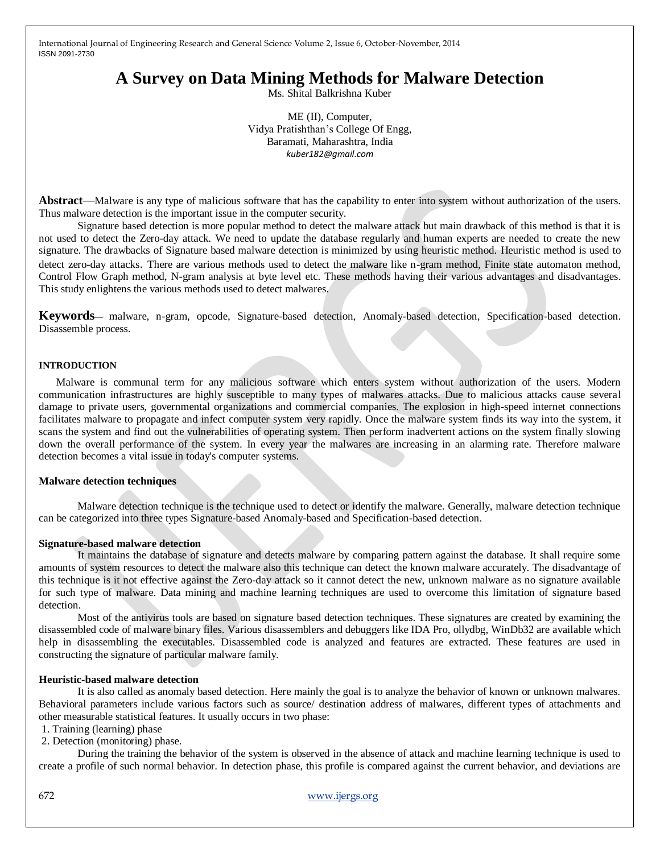# **A Survey on Data Mining Methods for Malware Detection**

Ms. Shital Balkrishna Kuber

ME (II), Computer, Vidya Pratishthan"s College Of Engg, Baramati, Maharashtra, India *kuber182@gmail.com*

**Abstract**—Malware is any type of malicious software that has the capability to enter into system without authorization of the users. Thus malware detection is the important issue in the computer security.

Signature based detection is more popular method to detect the malware attack but main drawback of this method is that it is not used to detect the Zero-day attack. We need to update the database regularly and human experts are needed to create the new signature. The drawbacks of Signature based malware detection is minimized by using heuristic method. Heuristic method is used to detect zero-day attacks. There are various methods used to detect the malware like n-gram method, Finite state automaton method, Control Flow Graph method, N-gram analysis at byte level etc. These methods having their various advantages and disadvantages. This study enlightens the various methods used to detect malwares.

**Keywords**— malware, n-gram, opcode, Signature-based detection, Anomaly-based detection, Specification-based detection. Disassemble process.

#### **INTRODUCTION**

Malware is communal term for any malicious software which enters system without authorization of the users. Modern communication infrastructures are highly susceptible to many types of malwares attacks. Due to malicious attacks cause several damage to private users, governmental organizations and commercial companies. The explosion in high-speed internet connections facilitates malware to propagate and infect computer system very rapidly. Once the malware system finds its way into the system, it scans the system and find out the vulnerabilities of operating system. Then perform inadvertent actions on the system finally slowing down the overall performance of the system. In every year the malwares are increasing in an alarming rate. Therefore malware detection becomes a vital issue in today's computer systems.

#### **Malware detection techniques**

Malware detection technique is the technique used to detect or identify the malware. Generally, malware detection technique can be categorized into three types Signature-based Anomaly-based and Specification-based detection.

#### **Signature-based malware detection**

It maintains the database of signature and detects malware by comparing pattern against the database. It shall require some amounts of system resources to detect the malware also this technique can detect the known malware accurately. The disadvantage of this technique is it not effective against the Zero-day attack so it cannot detect the new, unknown malware as no signature available for such type of malware. Data mining and machine learning techniques are used to overcome this limitation of signature based detection.

Most of the antivirus tools are based on signature based detection techniques. These signatures are created by examining the disassembled code of malware binary files. Various disassemblers and debuggers like IDA Pro, ollydbg, WinDb32 are available which help in disassembling the executables. Disassembled code is analyzed and features are extracted. These features are used in constructing the signature of particular malware family.

#### **Heuristic-based malware detection**

It is also called as anomaly based detection. Here mainly the goal is to analyze the behavior of known or unknown malwares. Behavioral parameters include various factors such as source/ destination address of malwares, different types of attachments and other measurable statistical features. It usually occurs in two phase:

- 1. Training (learning) phase
- 2. Detection (monitoring) phase.

During the training the behavior of the system is observed in the absence of attack and machine learning technique is used to create a profile of such normal behavior. In detection phase, this profile is compared against the current behavior, and deviations are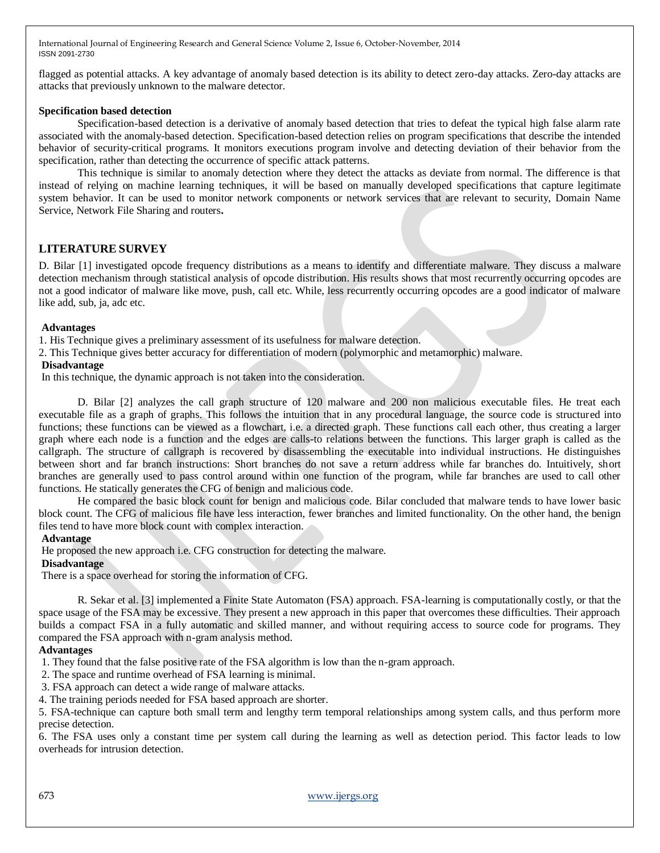flagged as potential attacks. A key advantage of anomaly based detection is its ability to detect zero-day attacks. Zero-day attacks are attacks that previously unknown to the malware detector.

## **Specification based detection**

Specification-based detection is a derivative of anomaly based detection that tries to defeat the typical high false alarm rate associated with the anomaly-based detection. Specification-based detection relies on program specifications that describe the intended behavior of security-critical programs. It monitors executions program involve and detecting deviation of their behavior from the specification, rather than detecting the occurrence of specific attack patterns.

This technique is similar to anomaly detection where they detect the attacks as deviate from normal. The difference is that instead of relying on machine learning techniques, it will be based on manually developed specifications that capture legitimate system behavior. It can be used to monitor network components or network services that are relevant to security, Domain Name Service, Network File Sharing and routers**.**

## **LITERATURE SURVEY**

D. Bilar [1] investigated opcode frequency distributions as a means to identify and differentiate malware. They discuss a malware detection mechanism through statistical analysis of opcode distribution. His results shows that most recurrently occurring opcodes are not a good indicator of malware like move, push, call etc. While, less recurrently occurring opcodes are a good indicator of malware like add, sub, ja, adc etc.

### **Advantages**

1. His Technique gives a preliminary assessment of its usefulness for malware detection.

2. This Technique gives better accuracy for differentiation of modern (polymorphic and metamorphic) malware.

### **Disadvantage**

In this technique, the dynamic approach is not taken into the consideration.

D. Bilar [2] analyzes the call graph structure of 120 malware and 200 non malicious executable files. He treat each executable file as a graph of graphs. This follows the intuition that in any procedural language, the source code is structured into functions; these functions can be viewed as a flowchart, i.e. a directed graph. These functions call each other, thus creating a larger graph where each node is a function and the edges are calls-to relations between the functions. This larger graph is called as the callgraph. The structure of callgraph is recovered by disassembling the executable into individual instructions. He distinguishes between short and far branch instructions: Short branches do not save a return address while far branches do. Intuitively, short branches are generally used to pass control around within one function of the program, while far branches are used to call other functions. He statically generates the CFG of benign and malicious code.

He compared the basic block count for benign and malicious code. Bilar concluded that malware tends to have lower basic block count. The CFG of malicious file have less interaction, fewer branches and limited functionality. On the other hand, the benign files tend to have more block count with complex interaction.

## **Advantage**

He proposed the new approach i.e. CFG construction for detecting the malware.

#### **Disadvantage**

There is a space overhead for storing the information of CFG.

R. Sekar et al. [3] implemented a Finite State Automaton (FSA) approach. FSA-learning is computationally costly, or that the space usage of the FSA may be excessive. They present a new approach in this paper that overcomes these difficulties. Their approach builds a compact FSA in a fully automatic and skilled manner, and without requiring access to source code for programs. They compared the FSA approach with n-gram analysis method.

## **Advantages**

1. They found that the false positive rate of the FSA algorithm is low than the n-gram approach.

2. The space and runtime overhead of FSA learning is minimal.

3. FSA approach can detect a wide range of malware attacks.

4. The training periods needed for FSA based approach are shorter.

5. FSA-technique can capture both small term and lengthy term temporal relationships among system calls, and thus perform more precise detection.

6. The FSA uses only a constant time per system call during the learning as well as detection period. This factor leads to low overheads for intrusion detection.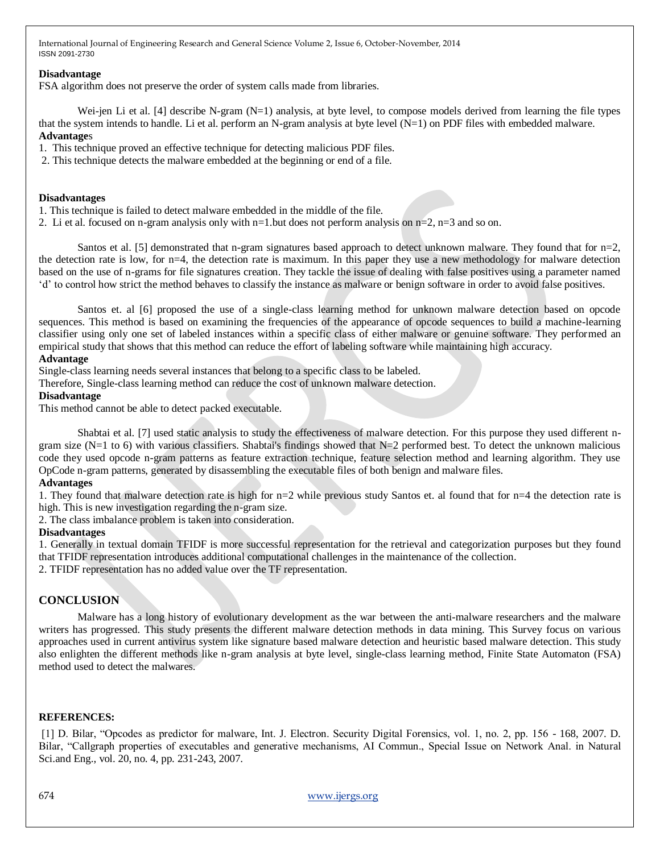## **Disadvantage**

FSA algorithm does not preserve the order of system calls made from libraries.

Wei-jen Li et al. [4] describe N-gram (N=1) analysis, at byte level, to compose models derived from learning the file types that the system intends to handle. Li et al. perform an N-gram analysis at byte level (N=1) on PDF files with embedded malware. **Advantage**s

1. This technique proved an effective technique for detecting malicious PDF files.

2. This technique detects the malware embedded at the beginning or end of a file.

#### **Disadvantages**

1. This technique is failed to detect malware embedded in the middle of the file.

2. Li et al. focused on n-gram analysis only with n=1.but does not perform analysis on  $n=2$ ,  $n=3$  and so on.

Santos et al. [5] demonstrated that n-gram signatures based approach to detect unknown malware. They found that for  $n=2$ , the detection rate is low, for n=4, the detection rate is maximum. In this paper they use a new methodology for malware detection based on the use of n-grams for file signatures creation. They tackle the issue of dealing with false positives using a parameter named "d" to control how strict the method behaves to classify the instance as malware or benign software in order to avoid false positives.

Santos et. al [6] proposed the use of a single-class learning method for unknown malware detection based on opcode sequences. This method is based on examining the frequencies of the appearance of opcode sequences to build a machine-learning classifier using only one set of labeled instances within a specific class of either malware or genuine software. They performed an empirical study that shows that this method can reduce the effort of labeling software while maintaining high accuracy.

### **Advantage**

Single-class learning needs several instances that belong to a specific class to be labeled.

Therefore, Single-class learning method can reduce the cost of unknown malware detection.

## **Disadvantage**

This method cannot be able to detect packed executable.

Shabtai et al. [7] used static analysis to study the effectiveness of malware detection. For this purpose they used different ngram size  $(N=1 \text{ to } 6)$  with various classifiers. Shabtai's findings showed that  $N=2$  performed best. To detect the unknown malicious code they used opcode n-gram patterns as feature extraction technique, feature selection method and learning algorithm. They use OpCode n-gram patterns, generated by disassembling the executable files of both benign and malware files.

#### **Advantages**

1. They found that malware detection rate is high for n=2 while previous study Santos et. al found that for n=4 the detection rate is high. This is new investigation regarding the n-gram size.

2. The class imbalance problem is taken into consideration.

## **Disadvantages**

1. Generally in textual domain TFIDF is more successful representation for the retrieval and categorization purposes but they found that TFIDF representation introduces additional computational challenges in the maintenance of the collection. 2. TFIDF representation has no added value over the TF representation.

## **CONCLUSION**

Malware has a long history of evolutionary development as the war between the anti-malware researchers and the malware writers has progressed. This study presents the different malware detection methods in data mining. This Survey focus on various approaches used in current antivirus system like signature based malware detection and heuristic based malware detection. This study also enlighten the different methods like n-gram analysis at byte level, single-class learning method, Finite State Automaton (FSA) method used to detect the malwares.

## **REFERENCES:**

[1] D. Bilar, "Opcodes as predictor for malware, Int. J. Electron. Security Digital Forensics, vol. 1, no. 2, pp. 156 - 168, 2007. D. Bilar, "Callgraph properties of executables and generative mechanisms, AI Commun., Special Issue on Network Anal. in Natural Sci.and Eng., vol. 20, no. 4, pp. 231-243, 2007.

674 www.ijergs.org